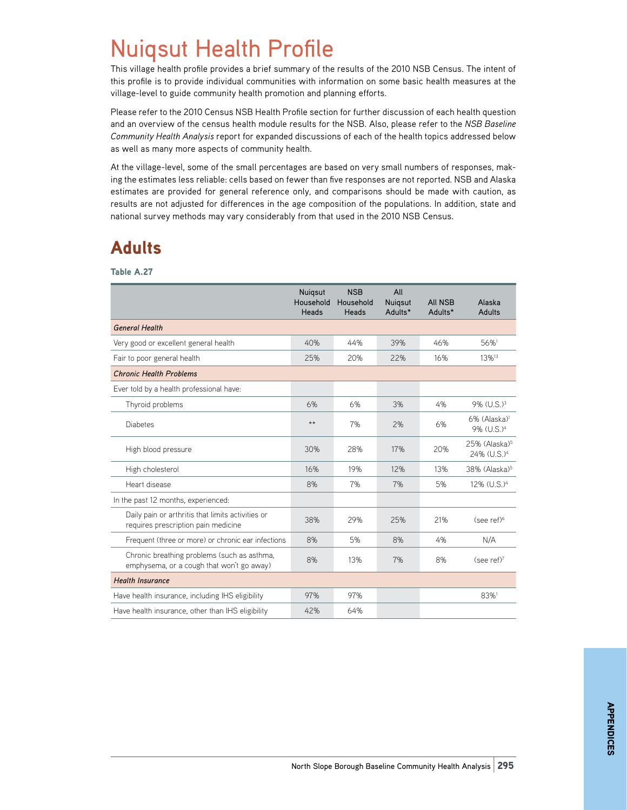## Nuiqsut Health Profile

This village health profile provides a brief summary of the results of the 2010 NSB Census. The intent of this profile is to provide individual communities with information on some basic health measures at the village-level to guide community health promotion and planning efforts.

Please refer to the 2010 Census NSB Health Profile section for further discussion of each health question and an overview of the census health module results for the NSB. Also, please refer to the *NSB Baseline Community Health Analysis* report for expanded discussions of each of the health topics addressed below as well as many more aspects of community health.

At the village-level, some of the small percentages are based on very small numbers of responses, making the estimates less reliable: cells based on fewer than five responses are not reported. NSB and Alaska estimates are provided for general reference only, and comparisons should be made with caution, as results are not adjusted for differences in the age composition of the populations. In addition, state and national survey methods may vary considerably from that used in the 2010 NSB Census.

## Adults

Table A.27

|                                                                                          | Nuigsut<br>Household<br><b>Heads</b> | <b>NSB</b><br>Household<br>Heads | All<br>Nuigsut<br>Adults* | <b>AII NSB</b><br>Adults* | Alaska<br>Adults                                       |
|------------------------------------------------------------------------------------------|--------------------------------------|----------------------------------|---------------------------|---------------------------|--------------------------------------------------------|
| <b>General Health</b>                                                                    |                                      |                                  |                           |                           |                                                        |
| Very good or excellent general health                                                    | 40%                                  | 44%                              | 39%                       | 46%                       | 56%1                                                   |
| Fair to poor general health                                                              | 25%                                  | 20%                              | 22%                       | 16%                       | 13% <sup>13</sup>                                      |
| <b>Chronic Health Problems</b>                                                           |                                      |                                  |                           |                           |                                                        |
| Ever told by a health professional have:                                                 |                                      |                                  |                           |                           |                                                        |
| Thyroid problems                                                                         | 6%                                   | 6%                               | 3%                        | 4%                        | 9% (U.S.) <sup>3</sup>                                 |
| <b>Diabetes</b>                                                                          | $**$                                 | 7%                               | 2%                        | 6%                        | $6\%$ (Alaska) <sup>1</sup><br>9% (U.S.) <sup>4</sup>  |
| High blood pressure                                                                      | 30%                                  | 28%                              | 17%                       | 20%                       | $25%$ (Alaska) <sup>5</sup><br>24% (U.S.) <sup>4</sup> |
| High cholesterol                                                                         | 16%                                  | 19%                              | 12%                       | 13%                       | 38% (Alaska) <sup>5</sup>                              |
| Heart disease                                                                            | 8%                                   | 7%                               | 7%                        | 5%                        | 12% (U.S.) <sup>4</sup>                                |
| In the past 12 months, experienced:                                                      |                                      |                                  |                           |                           |                                                        |
| Daily pain or arthritis that limits activities or<br>requires prescription pain medicine | 38%                                  | 29%                              | 25%                       | 21%                       | $(see ref)^6$                                          |
| Frequent (three or more) or chronic ear infections                                       | 8%                                   | 5%                               | 8%                        | 4%                        | N/A                                                    |
| Chronic breathing problems (such as asthma,<br>emphysema, or a cough that won't go away) | 8%                                   | 13%                              | 7%                        | 8%                        | (see ref) <sup>7</sup>                                 |
| <b>Health Insurance</b>                                                                  |                                      |                                  |                           |                           |                                                        |
| Have health insurance, including IHS eligibility                                         | 97%                                  | 97%                              |                           |                           | 83%1                                                   |
| Have health insurance, other than IHS eligibility                                        | 42%                                  | 64%                              |                           |                           |                                                        |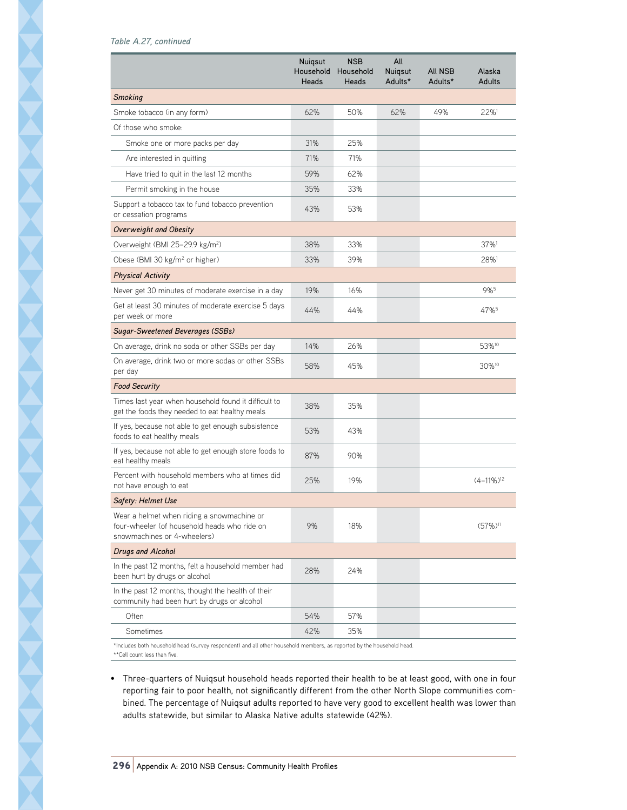Table A.27 *Table A.27, continued*

|                                                                                                                           | <b>Nuigsut</b><br>Household<br>Heads | <b>NSB</b><br>Household<br><b>Heads</b> | All<br>Nuigsut<br>Adults* | <b>AII NSB</b><br>Adults* | Alaska<br><b>Adults</b>  |
|---------------------------------------------------------------------------------------------------------------------------|--------------------------------------|-----------------------------------------|---------------------------|---------------------------|--------------------------|
| <b>Smoking</b>                                                                                                            |                                      |                                         |                           |                           |                          |
| Smoke tobacco (in any form)                                                                                               | 62%                                  | 50%                                     | 62%                       | 49%                       | $22\%$ <sup>1</sup>      |
| Of those who smoke:                                                                                                       |                                      |                                         |                           |                           |                          |
| Smoke one or more packs per day                                                                                           | 31%                                  | 25%                                     |                           |                           |                          |
| Are interested in quitting                                                                                                | 71%                                  | 71%                                     |                           |                           |                          |
| Have tried to quit in the last 12 months                                                                                  | 59%                                  | 62%                                     |                           |                           |                          |
| Permit smoking in the house                                                                                               | 35%                                  | 33%                                     |                           |                           |                          |
| Support a tobacco tax to fund tobacco prevention<br>or cessation programs                                                 | 43%                                  | 53%                                     |                           |                           |                          |
| Overweight and Obesity                                                                                                    |                                      |                                         |                           |                           |                          |
| Overweight (BMI 25-29.9 kg/m <sup>2</sup> )                                                                               | 38%                                  | 33%                                     |                           |                           | 37%1                     |
| Obese (BMI 30 kg/m <sup>2</sup> or higher)                                                                                | 33%                                  | 39%                                     |                           |                           | 28%                      |
| <b>Physical Activity</b>                                                                                                  |                                      |                                         |                           |                           |                          |
| Never get 30 minutes of moderate exercise in a day                                                                        | 19%                                  | 16%                                     |                           |                           | 9%5                      |
| Get at least 30 minutes of moderate exercise 5 days<br>per week or more                                                   | 44%                                  | 44%                                     |                           |                           | 47%                      |
| Sugar-Sweetened Beverages (SSBs)                                                                                          |                                      |                                         |                           |                           |                          |
| On average, drink no soda or other SSBs per day                                                                           | 14%                                  | 26%                                     |                           |                           | 53% <sup>10</sup>        |
| On average, drink two or more sodas or other SSBs<br>per day                                                              | 58%                                  | 45%                                     |                           |                           | 30%10                    |
| <b>Food Security</b>                                                                                                      |                                      |                                         |                           |                           |                          |
| Times last year when household found it difficult to<br>get the foods they needed to eat healthy meals                    | 38%                                  | 35%                                     |                           |                           |                          |
| If yes, because not able to get enough subsistence<br>foods to eat healthy meals                                          | 53%                                  | 43%                                     |                           |                           |                          |
| If yes, because not able to get enough store foods to<br>eat healthy meals                                                | 87%                                  | 90%                                     |                           |                           |                          |
| Percent with household members who at times did<br>not have enough to eat                                                 | 25%                                  | 19%                                     |                           |                           | $(4-11\%)$ <sup>12</sup> |
| Safety: Helmet Use                                                                                                        |                                      |                                         |                           |                           |                          |
| Wear a helmet when riding a snowmachine or<br>four-wheeler (of household heads who ride on<br>snowmachines or 4-wheelers) | 9%                                   | 18%                                     |                           |                           | $(57\%)$ <sup>11</sup>   |
| <b>Drugs and Alcohol</b>                                                                                                  |                                      |                                         |                           |                           |                          |
| In the past 12 months, felt a household member had<br>been hurt by drugs or alcohol                                       | 28%                                  | 24%                                     |                           |                           |                          |
| In the past 12 months, thought the health of their<br>community had been hurt by drugs or alcohol                         |                                      |                                         |                           |                           |                          |
| Often                                                                                                                     | 54%                                  | 57%                                     |                           |                           |                          |
| Sometimes                                                                                                                 | 42%                                  | 35%                                     |                           |                           |                          |
| *Includes both household head (survey respondent) and all other household members, as reported by the household head      |                                      |                                         |                           |                           |                          |

\*Includes both household head (survey respondent) and all other household members, as reported by the household head. \*\*Cell count less than five.

• Three-quarters of Nuiqsut household heads reported their health to be at least good, with one in four reporting fair to poor health, not significantly different from the other North Slope communities combined. The percentage of Nuiqsut adults reported to have very good to excellent health was lower than adults statewide, but similar to Alaska Native adults statewide (42%).